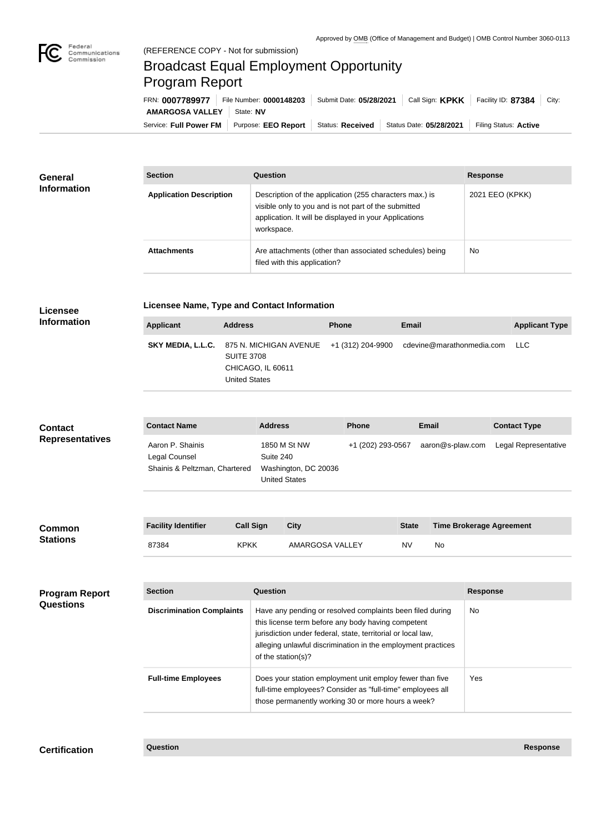

**Licensee Information**

## Broadcast Equal Employment Opportunity Program Report

**Licensee Name, Type and Contact Information**

| FRN: 0007789977        | Submit Date: 05/28/2021<br>File Number: 0000148203 |  | Call Sign: <b>KPKK</b>                                           | Facility ID: 87384    | City: |
|------------------------|----------------------------------------------------|--|------------------------------------------------------------------|-----------------------|-------|
| AMARGOSA VALLEY        | State: NV                                          |  |                                                                  |                       |       |
| Service: Full Power FM |                                                    |  | Purpose: EEO Report   Status: Received   Status Date: 05/28/2021 | Filing Status: Active |       |

| General<br><b>Information</b> | <b>Section</b>                 | <b>Question</b>                                                                                                                                                                         | <b>Response</b> |
|-------------------------------|--------------------------------|-----------------------------------------------------------------------------------------------------------------------------------------------------------------------------------------|-----------------|
|                               | <b>Application Description</b> | Description of the application (255 characters max.) is<br>visible only to you and is not part of the submitted<br>application. It will be displayed in your Applications<br>workspace. | 2021 EEO (KPKK) |
|                               | <b>Attachments</b>             | Are attachments (other than associated schedules) being<br>filed with this application?                                                                                                 | <b>No</b>       |

| <b>Information</b>     | <b>Applicant</b>                                                   | <b>Address</b>                            |                                                                           | <b>Phone</b>      | <b>Email</b>              | <b>Applicant Type</b> |
|------------------------|--------------------------------------------------------------------|-------------------------------------------|---------------------------------------------------------------------------|-------------------|---------------------------|-----------------------|
|                        | SKY MEDIA, L.L.C.                                                  | <b>SUITE 3708</b><br><b>United States</b> | 875 N. MICHIGAN AVENUE<br>CHICAGO, IL 60611                               | +1 (312) 204-9900 | cdevine@marathonmedia.com | LLC                   |
| <b>Contact</b>         | <b>Contact Name</b>                                                |                                           | <b>Address</b>                                                            | <b>Phone</b>      | <b>Email</b>              | <b>Contact Type</b>   |
| <b>Representatives</b> | Aaron P. Shainis<br>Legal Counsel<br>Shainis & Peltzman, Chartered |                                           | 1850 M St NW<br>Suite 240<br>Washington, DC 20036<br><b>United States</b> | +1 (202) 293-0567 | aaron@s-plaw.com          | Legal Representative  |
|                        |                                                                    |                                           |                                                                           |                   |                           |                       |

| <b>Common</b><br><b>Stations</b> | <b>Facility Identifier</b> | <b>Call Sign</b> | City            | <b>State</b> | <b>Time Brokerage Agreement</b> |
|----------------------------------|----------------------------|------------------|-----------------|--------------|---------------------------------|
|                                  | 87384                      | <b>KPKK</b>      | AMARGOSA VALLEY | NV           | No                              |

| <b>Program Report</b><br><b>Questions</b> | <b>Section</b>                   | Question                                                                                                                                                                                                                                                              | Response  |
|-------------------------------------------|----------------------------------|-----------------------------------------------------------------------------------------------------------------------------------------------------------------------------------------------------------------------------------------------------------------------|-----------|
|                                           | <b>Discrimination Complaints</b> | Have any pending or resolved complaints been filed during<br>this license term before any body having competent<br>jurisdiction under federal, state, territorial or local law,<br>alleging unlawful discrimination in the employment practices<br>of the station(s)? | <b>No</b> |
|                                           | <b>Full-time Employees</b>       | Does your station employment unit employ fewer than five<br>full-time employees? Consider as "full-time" employees all<br>those permanently working 30 or more hours a week?                                                                                          | Yes       |

**Certification Question Response**